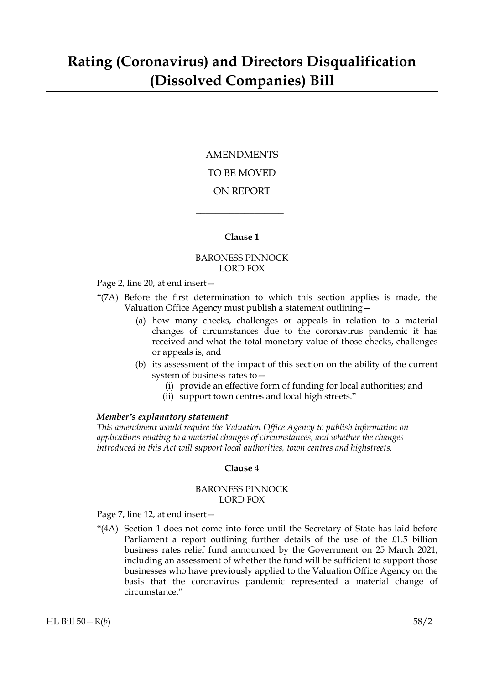## AMENDMENTS TO BE MOVED ON REPORT

#### **Clause 1**

 $\overline{\phantom{a}}$  , where  $\overline{\phantom{a}}$ 

#### BARONESS PINNOCK LORD FOX

Page 2, line 20, at end insert—

- "(7A) Before the first determination to which this section applies is made, the Valuation Office Agency must publish a statement outlining—
	- (a) how many checks, challenges or appeals in relation to a material changes of circumstances due to the coronavirus pandemic it has received and what the total monetary value of those checks, challenges or appeals is, and
	- (b) its assessment of the impact of this section on the ability of the current system of business rates to—
		- (i) provide an effective form of funding for local authorities; and
		- (ii) support town centres and local high streets."

#### *Member's explanatory statement*

*This amendment would require the Valuation Office Agency to publish information on applications relating to a material changes of circumstances, and whether the changes introduced in this Act will support local authorities, town centres and highstreets.*

#### **Clause 4**

#### BARONESS PINNOCK LORD FOX

Page 7, line 12, at end insert—

"(4A) Section 1 does not come into force until the Secretary of State has laid before Parliament a report outlining further details of the use of the £1.5 billion business rates relief fund announced by the Government on 25 March 2021, including an assessment of whether the fund will be sufficient to support those businesses who have previously applied to the Valuation Office Agency on the basis that the coronavirus pandemic represented a material change of circumstance."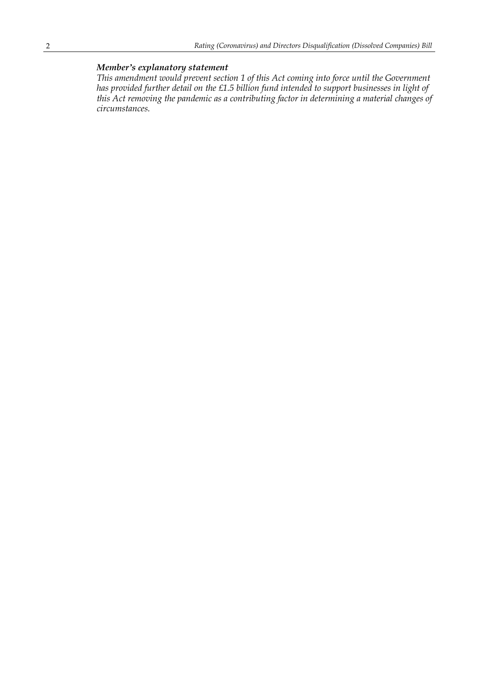### *Member's explanatory statement*

*This amendment would prevent section 1 of this Act coming into force until the Government has provided further detail on the £1.5 billion fund intended to support businesses in light of this Act removing the pandemic as a contributing factor in determining a material changes of circumstances.*